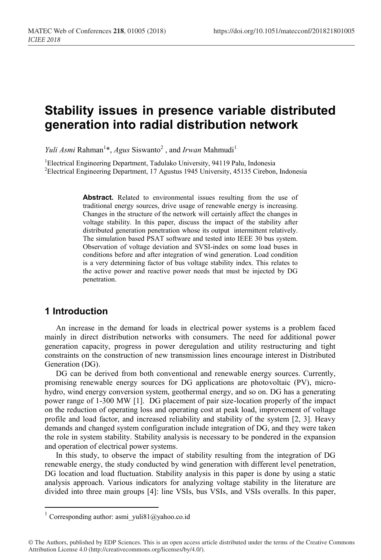# **Stability issues in presence variable distributed generation into radial distribution network**

*Yuli Asmi* Rahman<sup>1</sup>\*, *Agus* Siswanto<sup>2</sup>, and *Irwan* Mahmudi<sup>1</sup>

<sup>1</sup>Electrical Engineering Department, Tadulako University, 94119 Palu, Indonesia<br><sup>2</sup>Electrical Engineering Department, 17 Agustus 1945 University, 45135 Cirebon Electrical Engineering Department, 17 Agustus 1945 University, 45135 Cirebon, Indonesia

> Abstract. Related to environmental issues resulting from the use of traditional energy sources, drive usage of renewable energy is increasing. Changes in the structure of the network will certainly affect the changes in voltage stability. In this paper, discuss the impact of the stability after distributed generation penetration whose its output intermittent relatively. The simulation based PSAT software and tested into IEEE 30 bus system. Observation of voltage deviation and SVSI-index on some load buses in conditions before and after integration of wind generation. Load condition is a very determining factor of bus voltage stability index. This relates to the active power and reactive power needs that must be injected by DG penetration.

## **1 Introduction**

An increase in the demand for loads in electrical power systems is a problem faced mainly in direct distribution networks with consumers. The need for additional power generation capacity, progress in power deregulation and utility restructuring and tight constraints on the construction of new transmission lines encourage interest in Distributed Generation (DG).

DG can be derived from both conventional and renewable energy sources. Currently, promising renewable energy sources for DG applications are photovoltaic (PV), microhydro, wind energy conversion system, geothermal energy, and so on. DG has a generating power range of 1-300 MW [1]. DG placement of pair size-location properly of the impact on the reduction of operating loss and operating cost at peak load, improvement of voltage profile and load factor, and increased reliability and stability of the system [2, 3]. Heavy demands and changed system configuration include integration of DG, and they were taken the role in system stability. Stability analysis is necessary to be pondered in the expansion and operation of electrical power systems.

In this study, to observe the impact of stability resulting from the integration of DG renewable energy, the study conducted by wind generation with different level penetration, DG location and load fluctuation. Stability analysis in this paper is done by using a static analysis approach. Various indicators for analyzing voltage stability in the literature are divided into three main groups [4]: line VSIs, bus VSIs, and VSIs overalls. In this paper,

<sup>&</sup>lt;sup>1</sup> Corresponding author: asmi\_yuli81@yahoo.co.id

<sup>©</sup> The Authors, published by EDP Sciences. This is an open access article distributed under the terms of the Creative Commons Attribution License 4.0 (http://creativecommons.org/licenses/by/4.0/).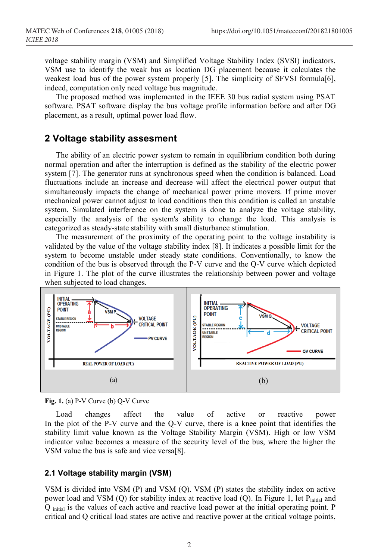voltage stability margin (VSM) and Simplified Voltage Stability Index (SVSI) indicators. VSM use to identify the weak bus as location DG placement because it calculates the weakest load bus of the power system properly [5]. The simplicity of SFVSI formula[6], indeed, computation only need voltage bus magnitude.

The proposed method was implemented in the IEEE 30 bus radial system using PSAT software. PSAT software display the bus voltage profile information before and after DG placement, as a result, optimal power load flow.

### **2 Voltage stability assesment**

The ability of an electric power system to remain in equilibrium condition both during normal operation and after the interruption is defined as the stability of the electric power system [7]. The generator runs at synchronous speed when the condition is balanced. Load fluctuations include an increase and decrease will affect the electrical power output that simultaneously impacts the change of mechanical power prime movers. If prime mover mechanical power cannot adjust to load conditions then this condition is called an unstable system. Simulated interference on the system is done to analyze the voltage stability, especially the analysis of the system's ability to change the load. This analysis is categorized as steady-state stability with small disturbance stimulation.

The measurement of the proximity of the operating point to the voltage instability is validated by the value of the voltage stability index [8]. It indicates a possible limit for the system to become unstable under steady state conditions. Conventionally, to know the condition of the bus is observed through the P-V curve and the Q-V curve which depicted in Figure 1. The plot of the curve illustrates the relationship between power and voltage when subjected to load changes.



**Fig. 1.** (a) P-V Curve (b) Q-V Curve

Load changes affect the value of active or reactive power In the plot of the P-V curve and the Q-V curve, there is a knee point that identifies the stability limit value known as the Voltage Stability Margin (VSM). High or low VSM indicator value becomes a measure of the security level of the bus, where the higher the VSM value the bus is safe and vice versa[8].

#### **2.1 Voltage stability margin (VSM)**

VSM is divided into VSM (P) and VSM (Q). VSM (P) states the stability index on active power load and VSM (Q) for stability index at reactive load (Q). In Figure 1, let  $P<sub>initial</sub>$  and Q initial is the values of each active and reactive load power at the initial operating point. P critical and Q critical load states are active and reactive power at the critical voltage points,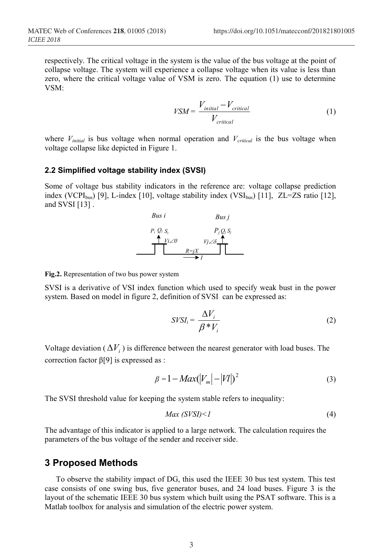respectively. The critical voltage in the system is the value of the bus voltage at the point of collapse voltage. The system will experience a collapse voltage when its value is less than zero, where the critical voltage value of VSM is zero. The equation (1) use to determine VSM:

$$
VSM = \frac{V_{initial} - V_{critical}}{V_{critical}}
$$
 (1)

where  $V_{initial}$  is bus voltage when normal operation and  $V_{critical}$  is the bus voltage when voltage collapse like depicted in Figure 1.

#### **2.2 Simplified voltage stability index (SVSI)**

Some of voltage bus stability indicators in the reference are: voltage collapse prediction index (VCPI<sub>bus</sub>) [9], L-index [10], voltage stability index (VSI<sub>bus</sub>) [11], ZL=ZS ratio [12], and SVSI  $[13]$ .



**Fig.2.** Representation of two bus power system

SVSI is a derivative of VSI index function which used to specify weak bust in the power system. Based on model in figure 2, definition of SVSI can be expressed as:

$$
SVSI_i = \frac{\Delta V_i}{\beta * V_i} \tag{2}
$$

Voltage deviation ( $\Delta V_i$ ) is difference between the nearest generator with load buses. The correction factor β[9] is expressed as :

$$
\beta = 1 - Max(|V_m| - |V|)^2 \tag{3}
$$

The SVSI threshold value for keeping the system stable refers to inequality:

$$
Max (SVSI) < I \tag{4}
$$

The advantage of this indicator is applied to a large network. The calculation requires the parameters of the bus voltage of the sender and receiver side.

# **3 Proposed Methods**

To observe the stability impact of DG, this used the IEEE 30 bus test system. This test case consists of one swing bus, five generator buses, and 24 load buses. Figure 3 is the layout of the schematic IEEE 30 bus system which built using the PSAT software. This is a Matlab toolbox for analysis and simulation of the electric power system.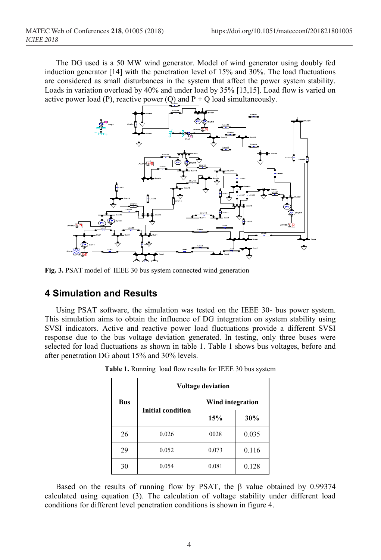The DG used is a 50 MW wind generator. Model of wind generator using doubly fed induction generator [14] with the penetration level of 15% and 30%. The load fluctuations are considered as small disturbances in the system that affect the power system stability. Loads in variation overload by 40% and under load by 35% [13,15]. Load flow is varied on active power load (P), reactive power (Q) and  $P + Q$  load simultaneously.



**Fig. 3.** PSAT model of IEEE 30 bus system connected wind generation

### **4 Simulation and Results**

Using PSAT software, the simulation was tested on the IEEE 30- bus power system. This simulation aims to obtain the influence of DG integration on system stability using SVSI indicators. Active and reactive power load fluctuations provide a different SVSI response due to the bus voltage deviation generated. In testing, only three buses were selected for load fluctuations as shown in table 1. Table 1 shows bus voltages, before and after penetration DG about 15% and 30% levels.

| <b>Bus</b> | <b>Voltage deviation</b> |                  |       |
|------------|--------------------------|------------------|-------|
|            | <b>Initial condition</b> | Wind integration |       |
|            |                          | 15%              | 30%   |
| 26         | 0.026                    | 0028             | 0.035 |
| 29         | 0.052                    | 0.073            | 0.116 |
| 30         | 0.054                    | 0.081            | 0.128 |

**Table 1.** Running load flow results for IEEE 30 bus system

Based on the results of running flow by PSAT, the β value obtained by 0.99374 calculated using equation (3). The calculation of voltage stability under different load conditions for different level penetration conditions is shown in figure 4.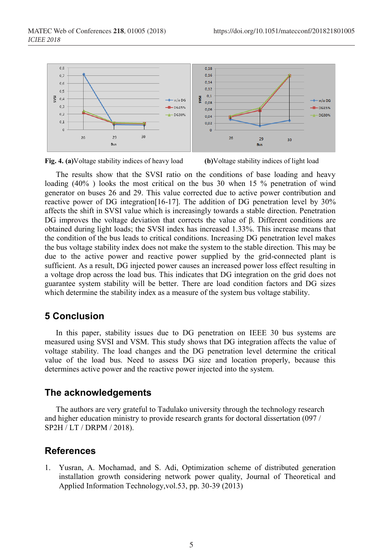



The results show that the SVSI ratio on the conditions of base loading and heavy loading (40% ) looks the most critical on the bus 30 when 15 % penetration of wind generator on buses 26 and 29. This value corrected due to active power contribution and reactive power of DG integration[16-17]. The addition of DG penetration level by 30% affects the shift in SVSI value which is increasingly towards a stable direction. Penetration DG improves the voltage deviation that corrects the value of β. Different conditions are obtained during light loads; the SVSI index has increased 1.33%. This increase means that the condition of the bus leads to critical conditions. Increasing DG penetration level makes the bus voltage stability index does not make the system to the stable direction. This may be due to the active power and reactive power supplied by the grid-connected plant is sufficient. As a result, DG injected power causes an increased power loss effect resulting in a voltage drop across the load bus. This indicates that DG integration on the grid does not guarantee system stability will be better. There are load condition factors and DG sizes which determine the stability index as a measure of the system bus voltage stability.

# **5 Conclusion**

In this paper, stability issues due to DG penetration on IEEE 30 bus systems are measured using SVSI and VSM. This study shows that DG integration affects the value of voltage stability. The load changes and the DG penetration level determine the critical value of the load bus. Need to assess DG size and location properly, because this determines active power and the reactive power injected into the system.

# **The acknowledgements**

The authors are very grateful to Tadulako university through the technology research and higher education ministry to provide research grants for doctoral dissertation (097 / SP2H / LT / DRPM / 2018).

### **References**

1. Yusran, A. Mochamad, and S. Adi, Optimization scheme of distributed generation installation growth considering network power quality, Journal of Theoretical and Applied Information Technology,vol.53, pp. 30-39 (2013)